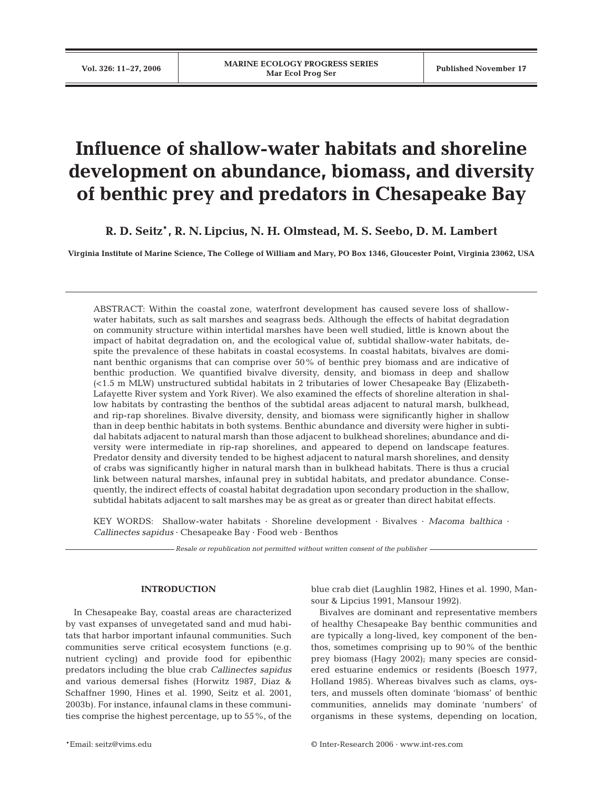# **Influence of shallow-water habitats and shoreline development on abundance, biomass, and diversity of benthic prey and predators in Chesapeake Bay**

**R. D. Seitz**\***, R. N. Lipcius, N. H. Olmstead, M. S. Seebo, D. M. Lambert**

**Virginia Institute of Marine Science, The College of William and Mary, PO Box 1346, Gloucester Point, Virginia 23062, USA**

ABSTRACT: Within the coastal zone, waterfront development has caused severe loss of shallowwater habitats, such as salt marshes and seagrass beds. Although the effects of habitat degradation on community structure within intertidal marshes have been well studied, little is known about the impact of habitat degradation on, and the ecological value of, subtidal shallow-water habitats, despite the prevalence of these habitats in coastal ecosystems. In coastal habitats, bivalves are dominant benthic organisms that can comprise over 50% of benthic prey biomass and are indicative of benthic production. We quantified bivalve diversity, density, and biomass in deep and shallow (<1.5 m MLW) unstructured subtidal habitats in 2 tributaries of lower Chesapeake Bay (Elizabeth-Lafayette River system and York River). We also examined the effects of shoreline alteration in shallow habitats by contrasting the benthos of the subtidal areas adjacent to natural marsh, bulkhead, and rip-rap shorelines. Bivalve diversity, density, and biomass were significantly higher in shallow than in deep benthic habitats in both systems. Benthic abundance and diversity were higher in subtidal habitats adjacent to natural marsh than those adjacent to bulkhead shorelines; abundance and diversity were intermediate in rip-rap shorelines, and appeared to depend on landscape features. Predator density and diversity tended to be highest adjacent to natural marsh shorelines, and density of crabs was significantly higher in natural marsh than in bulkhead habitats. There is thus a crucial link between natural marshes, infaunal prey in subtidal habitats, and predator abundance. Consequently, the indirect effects of coastal habitat degradation upon secondary production in the shallow, subtidal habitats adjacent to salt marshes may be as great as or greater than direct habitat effects.

KEY WORDS: Shallow-water habitats · Shoreline development · Bivalves · *Macoma balthica* · *Callinectes sapidus* · Chesapeake Bay · Food web · Benthos

*Resale or republication not permitted without written consent of the publisher*

## **INTRODUCTION**

In Chesapeake Bay, coastal areas are characterized by vast expanses of unvegetated sand and mud habitats that harbor important infaunal communities. Such communities serve critical ecosystem functions (e.g. nutrient cycling) and provide food for epibenthic predators including the blue crab *Callinectes sapidus* and various demersal fishes (Horwitz 1987, Diaz & Schaffner 1990, Hines et al. 1990, Seitz et al. 2001, 2003b). For instance, infaunal clams in these communities comprise the highest percentage, up to 55%, of the

blue crab diet (Laughlin 1982, Hines et al. 1990, Mansour & Lipcius 1991, Mansour 1992).

Bivalves are dominant and representative members of healthy Chesapeake Bay benthic communities and are typically a long-lived, key component of the benthos, sometimes comprising up to 90% of the benthic prey biomass (Hagy 2002); many species are considered estuarine endemics or residents (Boesch 1977, Holland 1985). Whereas bivalves such as clams, oysters, and mussels often dominate 'biomass' of benthic communities, annelids may dominate 'numbers' of organisms in these systems, depending on location,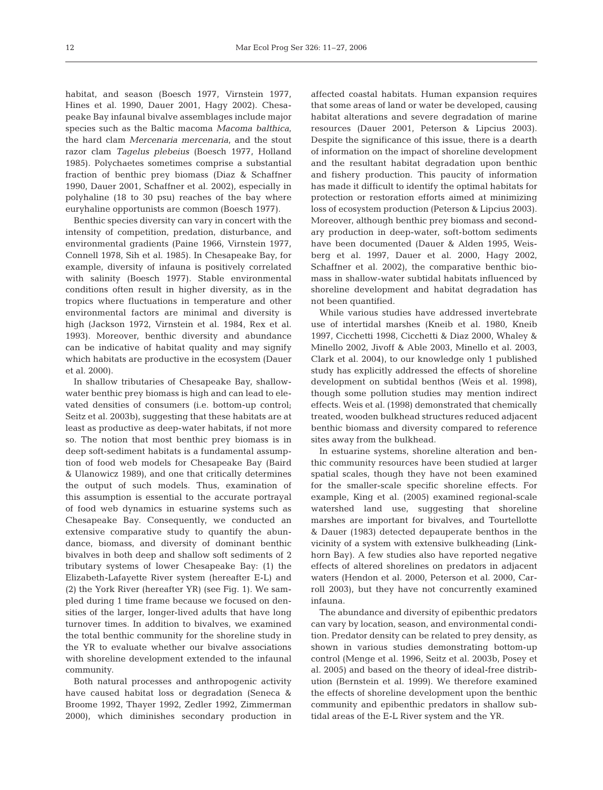habitat, and season (Boesch 1977, Virnstein 1977, Hines et al. 1990, Dauer 2001, Hagy 2002). Chesapeake Bay infaunal bivalve assemblages include major species such as the Baltic macoma *Macoma balthica*, the hard clam *Mercenaria mercenaria*, and the stout razor clam *Tagelus plebeius* (Boesch 1977, Holland 1985). Polychaetes sometimes comprise a substantial fraction of benthic prey biomass (Diaz & Schaffner 1990, Dauer 2001, Schaffner et al. 2002), especially in polyhaline (18 to 30 psu) reaches of the bay where euryhaline opportunists are common (Boesch 1977).

Benthic species diversity can vary in concert with the intensity of competition, predation, disturbance, and environmental gradients (Paine 1966, Virnstein 1977, Connell 1978, Sih et al. 1985). In Chesapeake Bay, for example, diversity of infauna is positively correlated with salinity (Boesch 1977). Stable environmental conditions often result in higher diversity, as in the tropics where fluctuations in temperature and other environmental factors are minimal and diversity is high (Jackson 1972, Virnstein et al. 1984, Rex et al. 1993). Moreover, benthic diversity and abundance can be indicative of habitat quality and may signify which habitats are productive in the ecosystem (Dauer et al. 2000).

In shallow tributaries of Chesapeake Bay, shallowwater benthic prey biomass is high and can lead to elevated densities of consumers (i.e. bottom-up control; Seitz et al. 2003b), suggesting that these habitats are at least as productive as deep-water habitats, if not more so. The notion that most benthic prey biomass is in deep soft-sediment habitats is a fundamental assumption of food web models for Chesapeake Bay (Baird & Ulanowicz 1989), and one that critically determines the output of such models. Thus, examination of this assumption is essential to the accurate portrayal of food web dynamics in estuarine systems such as Chesapeake Bay. Consequently, we conducted an extensive comparative study to quantify the abundance, biomass, and diversity of dominant benthic bivalves in both deep and shallow soft sediments of 2 tributary systems of lower Chesapeake Bay: (1) the Elizabeth-Lafayette River system (hereafter E-L) and (2) the York River (hereafter YR) (see Fig. 1). We sampled during 1 time frame because we focused on densities of the larger, longer-lived adults that have long turnover times. In addition to bivalves, we examined the total benthic community for the shoreline study in the YR to evaluate whether our bivalve associations with shoreline development extended to the infaunal community.

Both natural processes and anthropogenic activity have caused habitat loss or degradation (Seneca & Broome 1992, Thayer 1992, Zedler 1992, Zimmerman 2000), which diminishes secondary production in

affected coastal habitats. Human expansion requires that some areas of land or water be developed, causing habitat alterations and severe degradation of marine resources (Dauer 2001, Peterson & Lipcius 2003). Despite the significance of this issue, there is a dearth of information on the impact of shoreline development and the resultant habitat degradation upon benthic and fishery production. This paucity of information has made it difficult to identify the optimal habitats for protection or restoration efforts aimed at minimizing loss of ecosystem production (Peterson & Lipcius 2003). Moreover, although benthic prey biomass and secondary production in deep-water, soft-bottom sediments have been documented (Dauer & Alden 1995, Weisberg et al. 1997, Dauer et al. 2000, Hagy 2002, Schaffner et al. 2002), the comparative benthic biomass in shallow-water subtidal habitats influenced by shoreline development and habitat degradation has not been quantified.

While various studies have addressed invertebrate use of intertidal marshes (Kneib et al. 1980, Kneib 1997, Cicchetti 1998, Cicchetti & Diaz 2000, Whaley & Minello 2002, Jivoff & Able 2003, Minello et al. 2003, Clark et al. 2004), to our knowledge only 1 published study has explicitly addressed the effects of shoreline development on subtidal benthos (Weis et al. 1998), though some pollution studies may mention indirect effects. Weis et al. (1998) demonstrated that chemically treated, wooden bulkhead structures reduced adjacent benthic biomass and diversity compared to reference sites away from the bulkhead.

In estuarine systems, shoreline alteration and benthic community resources have been studied at larger spatial scales, though they have not been examined for the smaller-scale specific shoreline effects. For example, King et al. (2005) examined regional-scale watershed land use, suggesting that shoreline marshes are important for bivalves, and Tourtellotte & Dauer (1983) detected depauperate benthos in the vicinity of a system with extensive bulkheading (Linkhorn Bay). A few studies also have reported negative effects of altered shorelines on predators in adjacent waters (Hendon et al. 2000, Peterson et al. 2000, Carroll 2003), but they have not concurrently examined infauna.

The abundance and diversity of epibenthic predators can vary by location, season, and environmental condition. Predator density can be related to prey density, as shown in various studies demonstrating bottom-up control (Menge et al. 1996, Seitz et al. 2003b, Posey et al. 2005) and based on the theory of ideal-free distribution (Bernstein et al. 1999). We therefore examined the effects of shoreline development upon the benthic community and epibenthic predators in shallow subtidal areas of the E-L River system and the YR.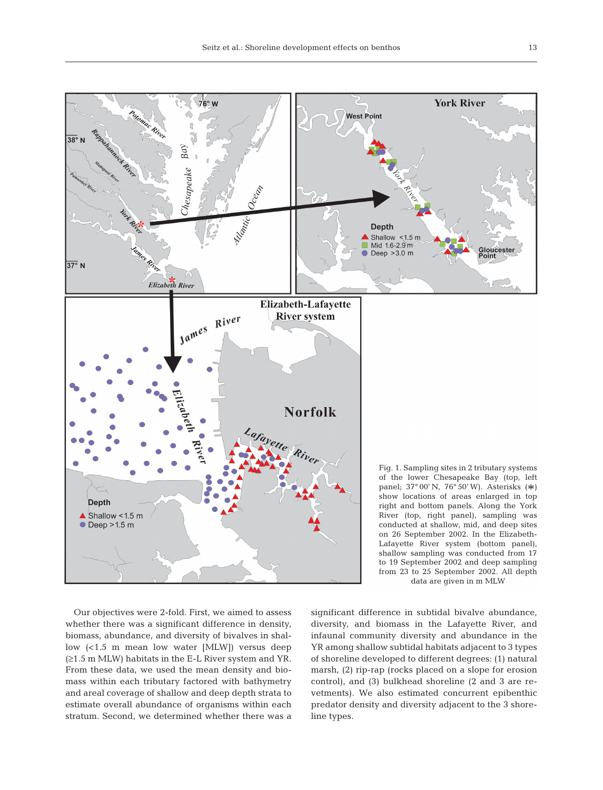

Our objectives were 2-fold. First, we aimed to assess whether there was a significant difference in density, biomass, abundance, and diversity of bivalves in shallow (<1.5 m mean low water [MLW]) versus deep (≥1.5 m MLW) habitats in the E-L River system and YR. From these data, we used the mean density and biomass within each tributary factored with bathymetry and areal coverage of shallow and deep depth strata to estimate overall abundance of organisms within each stratum. Second, we determined whether there was a significant difference in subtidal bivalve abundance, diversity, and biomass in the Lafayette River, and infaunal community diversity and abundance in the YR among shallow subtidal habitats adjacent to 3 types of shoreline developed to different degrees: (1) natural marsh, (2) rip-rap (rocks placed on a slope for erosion control), and (3) bulkhead shoreline (2 and 3 are revetments). We also estimated concurrent epibenthic predator density and diversity adjacent to the 3 shoreline types.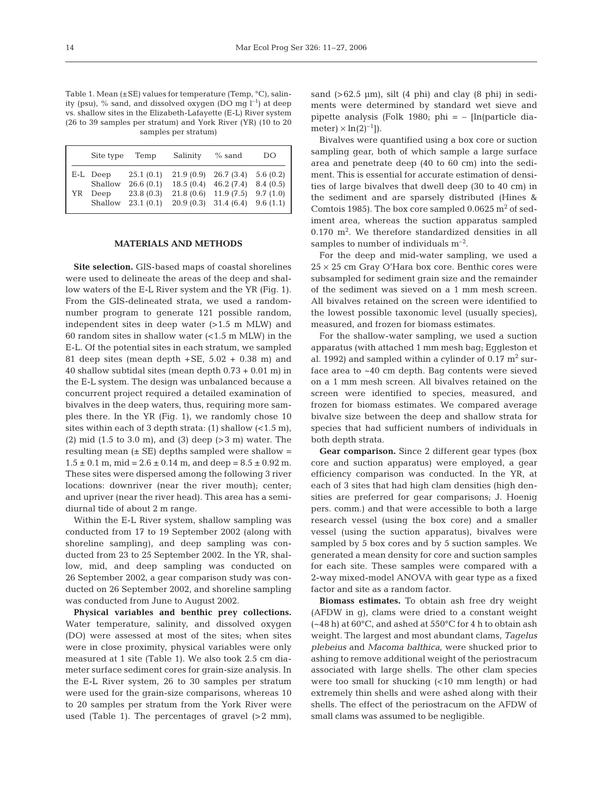Table 1. Mean  $(\pm SE)$  values for temperature (Temp, °C), salinity (psu), % sand, and dissolved oxygen (DO mg  $l^{-1}$ ) at deep vs. shallow sites in the Elizabeth-Lafayette (E-L) River system (26 to 39 samples per stratum) and York River (YR) (10 to 20 samples per stratum)

|    | Site type | Temp      | Salinity  | $%$ sand  | DO       |
|----|-----------|-----------|-----------|-----------|----------|
| YR | E-L Deep  | 25.1(0.1) | 21.9(0.9) | 26.7(3.4) | 5.6(0.2) |
|    | Shallow   | 26.6(0.1) | 18.5(0.4) | 46.2(7.4) | 8.4(0.5) |
|    | Deep      | 23.8(0.3) | 21.8(0.6) | 11.9(7.5) | 9.7(1.0) |
|    | Shallow   | 23.1(0.1) | 20.9(0.3) | 31.4(6.4) | 9.6(1.1) |

#### **MATERIALS AND METHODS**

**Site selection.** GIS-based maps of coastal shorelines were used to delineate the areas of the deep and shallow waters of the E-L River system and the YR (Fig. 1). From the GIS-delineated strata, we used a randomnumber program to generate 121 possible random, independent sites in deep water (>1.5 m MLW) and 60 random sites in shallow water  $\leq$  1.5 m MLW) in the E-L. Of the potential sites in each stratum, we sampled 81 deep sites (mean depth  $+SE$ , 5.02  $+$  0.38 m) and 40 shallow subtidal sites (mean depth 0.73 + 0.01 m) in the E-L system. The design was unbalanced because a concurrent project required a detailed examination of bivalves in the deep waters, thus, requiring more samples there. In the YR (Fig. 1), we randomly chose 10 sites within each of 3 depth strata:  $(1)$  shallow  $(<1.5$  m), (2) mid (1.5 to 3.0 m), and (3) deep (>3 m) water. The resulting mean  $(\pm \text{ SE})$  depths sampled were shallow =  $1.5 \pm 0.1$  m, mid =  $2.6 \pm 0.14$  m, and deep =  $8.5 \pm 0.92$  m. These sites were dispersed among the following 3 river locations: downriver (near the river mouth); center; and upriver (near the river head). This area has a semidiurnal tide of about 2 m range.

Within the E-L River system, shallow sampling was conducted from 17 to 19 September 2002 (along with shoreline sampling), and deep sampling was conducted from 23 to 25 September 2002. In the YR, shallow, mid, and deep sampling was conducted on 26 September 2002, a gear comparison study was conducted on 26 September 2002, and shoreline sampling was conducted from June to August 2002.

**Physical variables and benthic prey collections.** Water temperature, salinity, and dissolved oxygen (DO) were assessed at most of the sites; when sites were in close proximity, physical variables were only measured at 1 site (Table 1). We also took 2.5 cm diameter surface sediment cores for grain-size analysis. In the E-L River system, 26 to 30 samples per stratum were used for the grain-size comparisons, whereas 10 to 20 samples per stratum from the York River were used (Table 1). The percentages of gravel (>2 mm), sand  $(>62.5 \text{ }\mu\text{m})$ , silt  $(4 \text{ }\text{phi})$  and clay  $(8 \text{ }\text{phi})$  in sediments were determined by standard wet sieve and pipette analysis (Folk 1980; phi =  $-$  [ln(particle diameter)  $\times$  ln(2)<sup>-1</sup>]).

Bivalves were quantified using a box core or suction sampling gear, both of which sample a large surface area and penetrate deep (40 to 60 cm) into the sediment. This is essential for accurate estimation of densities of large bivalves that dwell deep (30 to 40 cm) in the sediment and are sparsely distributed (Hines & Comtois 1985). The box core sampled  $0.0625$  m<sup>2</sup> of sediment area, whereas the suction apparatus sampled  $0.170$  m<sup>2</sup>. We therefore standardized densities in all samples to number of individuals  $m^{-2}$ .

For the deep and mid-water sampling, we used a  $25 \times 25$  cm Gray O'Hara box core. Benthic cores were subsampled for sediment grain size and the remainder of the sediment was sieved on a 1 mm mesh screen. All bivalves retained on the screen were identified to the lowest possible taxonomic level (usually species), measured, and frozen for biomass estimates.

For the shallow-water sampling, we used a suction apparatus (with attached 1 mm mesh bag; Eggleston et al. 1992) and sampled within a cylinder of  $0.17 \text{ m}^2$  surface area to ~40 cm depth. Bag contents were sieved on a 1 mm mesh screen. All bivalves retained on the screen were identified to species, measured, and frozen for biomass estimates. We compared average bivalve size between the deep and shallow strata for species that had sufficient numbers of individuals in both depth strata.

**Gear comparison.** Since 2 different gear types (box core and suction apparatus) were employed, a gear efficiency comparison was conducted. In the YR, at each of 3 sites that had high clam densities (high densities are preferred for gear comparisons; J. Hoenig pers. comm.) and that were accessible to both a large research vessel (using the box core) and a smaller vessel (using the suction apparatus), bivalves were sampled by 5 box cores and by 5 suction samples. We generated a mean density for core and suction samples for each site. These samples were compared with a 2-way mixed-model ANOVA with gear type as a fixed factor and site as a random factor.

**Biomass estimates.** To obtain ash free dry weight (AFDW in g), clams were dried to a constant weight  $(-48 h)$  at  $60^{\circ}$ C, and ashed at  $550^{\circ}$ C for 4 h to obtain ash weight. The largest and most abundant clams, *Tagelus plebeius* and *Macoma balthica*, were shucked prior to ashing to remove additional weight of the periostracum associated with large shells. The other clam species were too small for shucking (<10 mm length) or had extremely thin shells and were ashed along with their shells. The effect of the periostracum on the AFDW of small clams was assumed to be negligible.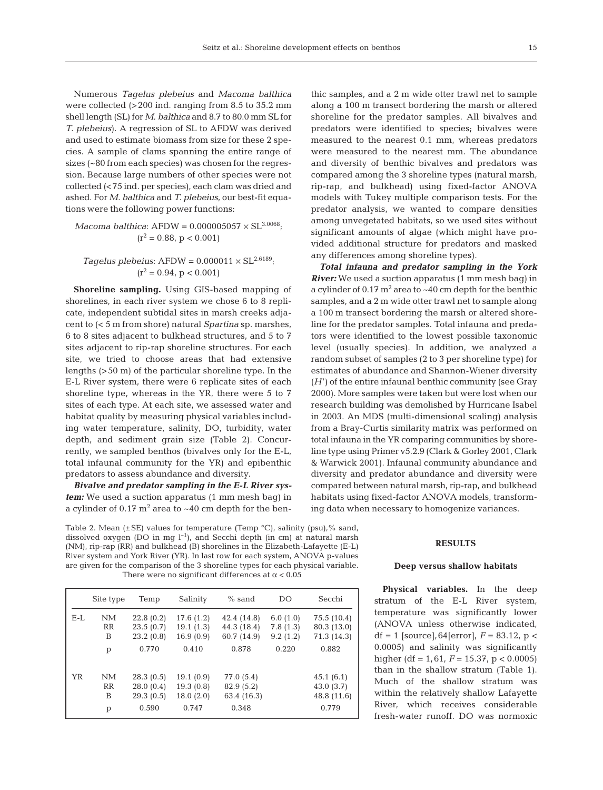Numerous *Tagelus plebeius* and *Macoma balthica* were collected (>200 ind. ranging from 8.5 to 35.2 mm shell length (SL) for *M. balthica* and 8.7 to 80.0 mm SL for *T. plebeius*). A regression of SL to AFDW was derived and used to estimate biomass from size for these 2 species. A sample of clams spanning the entire range of sizes (~80 from each species) was chosen for the regression. Because large numbers of other species were not collected (<75 ind. per species), each clam was dried and ashed. For *M. balthica* and *T. plebeius*, our best-fit equations were the following power functions:

 $Macoma$  *balthica*: AFDW =  $0.000005057 \times SL^{3.0068}$ ;  $(r^2 = 0.88, p < 0.001)$ 

## *Tagelus plebeius*:  $AFDW = 0.000011 \times SL^{2.6189}$ ;  $(r^2 = 0.94, p < 0.001)$

**Shoreline sampling.** Using GIS-based mapping of shorelines, in each river system we chose 6 to 8 replicate, independent subtidal sites in marsh creeks adjacent to (< 5 m from shore) natural *Spartina* sp. marshes, 6 to 8 sites adjacent to bulkhead structures, and 5 to 7 sites adjacent to rip-rap shoreline structures. For each site, we tried to choose areas that had extensive lengths (>50 m) of the particular shoreline type. In the E-L River system, there were 6 replicate sites of each shoreline type, whereas in the YR, there were 5 to 7 sites of each type. At each site, we assessed water and habitat quality by measuring physical variables including water temperature, salinity, DO, turbidity, water depth, and sediment grain size (Table 2). Concurrently, we sampled benthos (bivalves only for the E-L, total infaunal community for the YR) and epibenthic predators to assess abundance and diversity.

*Bivalve and predator sampling in the E-L River system:* We used a suction apparatus (1 mm mesh bag) in a cylinder of  $0.17 \text{ m}^2$  area to  $\sim 40 \text{ cm}$  depth for the ben-

Table 2. Mean (±SE) values for temperature (Temp °C), salinity (psu),% sand, dissolved oxygen (DO in mg  $l^{-1}$ ), and Secchi depth (in cm) at natural marsh (NM), rip-rap (RR) and bulkhead (B) shorelines in the Elizabeth-Lafayette (E-L) River system and York River (YR). In last row for each system, ANOVA p-values are given for the comparison of the 3 shoreline types for each physical variable. There were no significant differences at  $\alpha$  < 0.05

|     | Site type | Temp                   | Salinity               | $%$ sand                   | DO                   | Secchi                     |
|-----|-----------|------------------------|------------------------|----------------------------|----------------------|----------------------------|
| E-L | NM<br>RR  | 22.8(0.2)<br>23.5(0.7) | 17.6(1.2)<br>19.1(1.3) | 42.4 (14.8)<br>44.3 (18.4) | 6.0(1.0)<br>7.8(1.3) | 75.5 (10.4)<br>80.3 (13.0) |
|     | B         | 23.2(0.8)              | 16.9(0.9)              | 60.7 (14.9)                | 9.2(1.2)             | 71.3 (14.3)                |
|     | p         | 0.770                  | 0.410                  | 0.878                      | 0.220                | 0.882                      |
| YR  | NM        | 28.3(0.5)              | 19.1(0.9)              | 77.0 (5.4)                 |                      | 45.1(6.1)                  |
|     | RR        | 28.0(0.4)              | 19.3(0.8)              | 82.9 (5.2)                 |                      | 43.0(3.7)                  |
|     | B         | 29.3(0.5)              | 18.0(2.0)              | 63.4 (16.3)                |                      | 48.8 (11.6)                |
|     | p         | 0.590                  | 0.747                  | 0.348                      |                      | 0.779                      |

thic samples, and a 2 m wide otter trawl net to sample along a 100 m transect bordering the marsh or altered shoreline for the predator samples. All bivalves and predators were identified to species; bivalves were measured to the nearest 0.1 mm, whereas predators were measured to the nearest mm. The abundance and diversity of benthic bivalves and predators was compared among the 3 shoreline types (natural marsh, rip-rap, and bulkhead) using fixed-factor ANOVA models with Tukey multiple comparison tests. For the predator analysis, we wanted to compare densities among unvegetated habitats, so we used sites without significant amounts of algae (which might have provided additional structure for predators and masked any differences among shoreline types).

*Total infauna and predator sampling in the York River:* We used a suction apparatus (1 mm mesh bag) in a cylinder of  $0.17 \text{ m}^2$  area to  $\sim 40 \text{ cm}$  depth for the benthic samples, and a 2 m wide otter trawl net to sample along a 100 m transect bordering the marsh or altered shoreline for the predator samples. Total infauna and predators were identified to the lowest possible taxonomic level (usually species). In addition, we analyzed a random subset of samples (2 to 3 per shoreline type) for estimates of abundance and Shannon-Wiener diversity (*H*') of the entire infaunal benthic community (see Gray 2000). More samples were taken but were lost when our research building was demolished by Hurricane Isabel in 2003. An MDS (multi-dimensional scaling) analysis from a Bray-Curtis similarity matrix was performed on total infauna in the YR comparing communities by shoreline type using Primer v5.2.9 (Clark & Gorley 2001, Clark & Warwick 2001). Infaunal community abundance and diversity and predator abundance and diversity were compared between natural marsh, rip-rap, and bulkhead habitats using fixed-factor ANOVA models, transforming data when necessary to homogenize variances.

#### **RESULTS**

#### **Deep versus shallow habitats**

**Physical variables.** In the deep stratum of the E-L River system, temperature was significantly lower (ANOVA unless otherwise indicated, df = 1 [source],  $64$ [error],  $F = 83.12$ , p < 0.0005) and salinity was significantly higher (df = 1,61, *F* = 15.37, p < 0.0005) than in the shallow stratum (Table 1). Much of the shallow stratum was within the relatively shallow Lafayette River, which receives considerable fresh-water runoff. DO was normoxic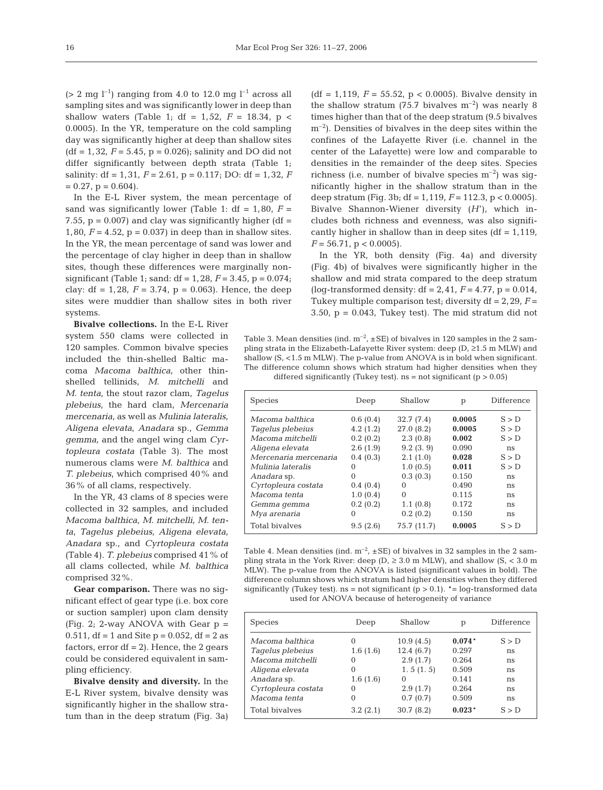( $> 2$  mg l<sup>-1</sup>) ranging from 4.0 to 12.0 mg l<sup>-1</sup> across all sampling sites and was significantly lower in deep than shallow waters (Table 1; df = 1,52,  $F = 18.34$ ,  $p <$ 0.0005). In the YR, temperature on the cold sampling day was significantly higher at deep than shallow sites  $(df = 1,32, F = 5.45, p = 0.026)$ ; salinity and DO did not differ significantly between depth strata (Table 1; salinity:  $df = 1,31, F = 2.61, p = 0.117$ ; DO:  $df = 1,32, F$  $= 0.27$ ,  $p = 0.604$ ).

In the E-L River system, the mean percentage of sand was significantly lower (Table 1:  $df = 1,80$ ,  $F =$ 7.55,  $p = 0.007$ ) and clay was significantly higher (df = 1,80,  $F = 4.52$ ,  $p = 0.037$  in deep than in shallow sites. In the YR, the mean percentage of sand was lower and the percentage of clay higher in deep than in shallow sites, though these differences were marginally nonsignificant (Table 1; sand: df = 1,28, *F* = 3.45, p = 0.074; clay: df = 1,28,  $F = 3.74$ ,  $p = 0.063$ ). Hence, the deep sites were muddier than shallow sites in both river systems.

**Bivalve collections.** In the E-L River system 550 clams were collected in 120 samples. Common bivalve species included the thin-shelled Baltic macoma *Macoma balthica,* other thinshelled tellinids, *M. mitchelli* and *M. tenta*, the stout razor clam, *Tagelus plebeius*, the hard clam, *Mercenaria mercenaria*, as well as *Mulinia lateralis*, *Aligena elevata*, *Anadara* sp., *Gemma gemma*, and the angel wing clam *Cyrtopleura costata* (Table 3). The most numerous clams were *M. balthica* and *T. plebeius*, which comprised 40% and 36% of all clams, respectively.

In the YR, 43 clams of 8 species were collected in 32 samples, and included *Macoma balthica, M. mitchelli, M. tenta*, *Tagelus plebeius*, *Aligena elevata*, *Anadara* sp., and *Cyrtopleura costata* (Table 4). *T. plebeius* comprised 41% of all clams collected, while *M. balthica* comprised 32%.

**Gear comparison.** There was no significant effect of gear type (i.e. box core or suction sampler) upon clam density (Fig. 2; 2-way ANOVA with Gear  $p =$ 0.511, df = 1 and Site  $p = 0.052$ , df = 2 as factors, error  $df = 2$ ). Hence, the 2 gears could be considered equivalent in sampling efficiency.

**Bivalve density and diversity.** In the E-L River system, bivalve density was significantly higher in the shallow stratum than in the deep stratum (Fig. 3a) (df = 1,119,  $F = 55.52$ ,  $p < 0.0005$ ). Bivalve density in the shallow stratum (75.7 bivalves  $m^{-2}$ ) was nearly 8 times higher than that of the deep stratum (9.5 bivalves  $m^{-2}$ ). Densities of bivalves in the deep sites within the confines of the Lafayette River (i.e. channel in the center of the Lafayette) were low and comparable to densities in the remainder of the deep sites. Species richness (i.e. number of bivalve species  $m^{-2}$ ) was significantly higher in the shallow stratum than in the deep stratum (Fig. 3b; df = 1,119, *F* = 112.3, p < 0.0005). Bivalve Shannon-Wiener diversity (*H*'), which includes both richness and evenness, was also significantly higher in shallow than in deep sites  $(df = 1,119,$  $F = 56.71$ , p < 0.0005).

In the YR, both density (Fig. 4a) and diversity (Fig. 4b) of bivalves were significantly higher in the shallow and mid strata compared to the deep stratum (log-transformed density:  $df = 2,41, F = 4.77, p = 0.014,$ Tukey multiple comparison test; diversity  $df = 2,29, F =$  $3.50$ ,  $p = 0.043$ , Tukey test). The mid stratum did not

Table 3. Mean densities (ind.  $m^{-2}$ ,  $\pm$  SE) of bivalves in 120 samples in the 2 sampling strata in the Elizabeth-Lafayette River system: deep (D, ≥1.5 m MLW) and shallow  $(S, <1.5 \text{ m}$  MLW). The p-value from ANOVA is in bold when significant. The difference column shows which stratum had higher densities when they differed significantly (Tukey test).  $ns = not$  significant ( $p > 0.05$ )

| <b>Species</b>        | Deep     | Shallow     | p      | Difference |
|-----------------------|----------|-------------|--------|------------|
| Macoma balthica       | 0.6(0.4) | 32.7(7.4)   | 0.0005 | S > D      |
| Tagelus plebeius      | 4.2(1.2) | 27.0(8.2)   | 0.0005 | S > D      |
| Macoma mitchelli      | 0.2(0.2) | 2.3(0.8)    | 0.002  | S > D      |
| Aligena elevata       | 2.6(1.9) | 9.2(3.9)    | 0.090  | ns         |
| Mercenaria mercenaria | 0.4(0.3) | 2.1(1.0)    | 0.028  | S > D      |
| Mulinia lateralis     | 0        | 1.0(0.5)    | 0.011  | S > D      |
| Anadara sp.           | $\Omega$ | 0.3(0.3)    | 0.150  | ns         |
| Cyrtopleura costata   | 0.4(0.4) | $\Omega$    | 0.490  | ns         |
| Macoma tenta          | 1.0(0.4) | $\Omega$    | 0.115  | ns         |
| Gemma gemma           | 0.2(0.2) | 1.1(0.8)    | 0.172  | ns         |
| Mya arenaria          | $\Omega$ | 0.2(0.2)    | 0.150  | ns         |
| Total bivalves        | 9.5(2.6) | 75.7 (11.7) | 0.0005 | S > D      |

Table 4. Mean densities (ind.  $m^{-2}$ ,  $\pm$  SE) of bivalves in 32 samples in the 2 sampling strata in the York River: deep ( $D$ ,  $\geq$  3.0 m MLW), and shallow ( $S$ , < 3.0 m MLW). The p-value from the ANOVA is listed (significant values in bold). The difference column shows which stratum had higher densities when they differed significantly (Tukey test). ns = not significant ( $p > 0.1$ ). \*= log-transformed data used for ANOVA because of heterogeneity of variance

| <b>Species</b>      | Deep     | Shallow   | р        | Difference |
|---------------------|----------|-----------|----------|------------|
| Macoma balthica     | 0        | 10.9(4.5) | $0.074*$ | S > D      |
| Tagelus plebeius    | 1.6(1.6) | 12.4(6.7) | 0.297    | ns         |
| Macoma mitchelli    | 0        | 2.9(1.7)  | 0.264    | ns         |
| Aligena elevata     | 0        | 1.5(1.5)  | 0.509    | ns         |
| Anadara sp.         | 1.6(1.6) | $\Omega$  | 0.141    | ns         |
| Cyrtopleura costata | 0        | 2.9(1.7)  | 0.264    | ns         |
| Macoma tenta        | 0        | 0.7(0.7)  | 0.509    | ns         |
| Total bivalves      | 3.2(2.1) | 30.7(8.2) | $0.023*$ | S > D      |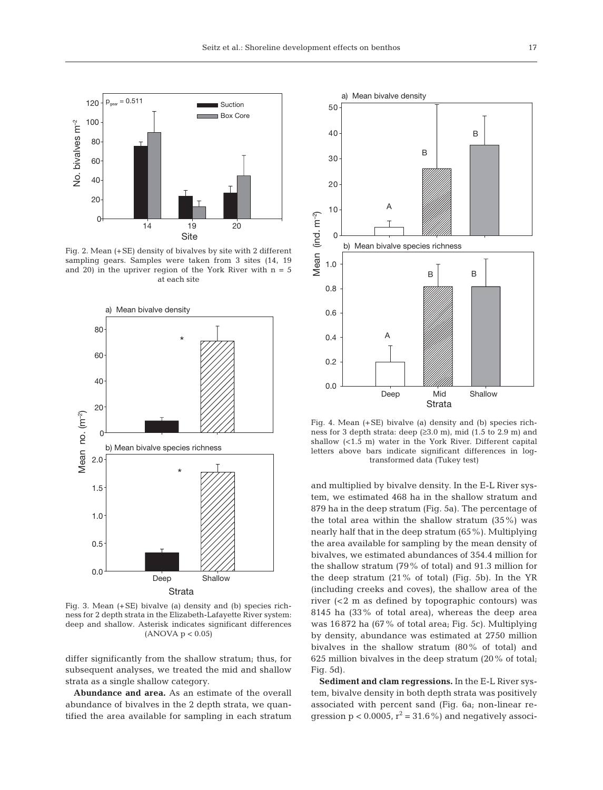

Fig. 2. Mean (+SE) density of bivalves by site with 2 different sampling gears. Samples were taken from 3 sites (14, 19 and 20) in the upriver region of the York River with  $n = 5$ at each site



Fig. 3. Mean (+SE) bivalve (a) density and (b) species richness for 2 depth strata in the Elizabeth-Lafayette River system: deep and shallow. Asterisk indicates significant differences (ANOVA p < 0.05)

differ significantly from the shallow stratum; thus, for subsequent analyses, we treated the mid and shallow strata as a single shallow category.

**Abundance and area.** As an estimate of the overall abundance of bivalves in the 2 depth strata, we quantified the area available for sampling in each stratum



Fig. 4. Mean (+SE) bivalve (a) density and (b) species richness for 3 depth strata: deep (≥3.0 m), mid (1.5 to 2.9 m) and shallow (<1.5 m) water in the York River. Different capital letters above bars indicate significant differences in logtransformed data (Tukey test)

and multiplied by bivalve density. In the E-L River system, we estimated 468 ha in the shallow stratum and 879 ha in the deep stratum (Fig. 5a). The percentage of the total area within the shallow stratum (35%) was nearly half that in the deep stratum (65%). Multiplying the area available for sampling by the mean density of bivalves, we estimated abundances of 354.4 million for the shallow stratum (79% of total) and 91.3 million for the deep stratum (21% of total) (Fig. 5b). In the YR (including creeks and coves), the shallow area of the river (<2 m as defined by topographic contours) was 8145 ha (33% of total area), whereas the deep area was 16 872 ha (67% of total area; Fig. 5c). Multiplying by density, abundance was estimated at 2750 million bivalves in the shallow stratum (80% of total) and 625 million bivalves in the deep stratum (20% of total; Fig. 5d).

**Sediment and clam regressions.** In the E-L River system, bivalve density in both depth strata was positively associated with percent sand (Fig. 6a; non-linear regression  $p < 0.0005$ ,  $r^2 = 31.6\%$  and negatively associ-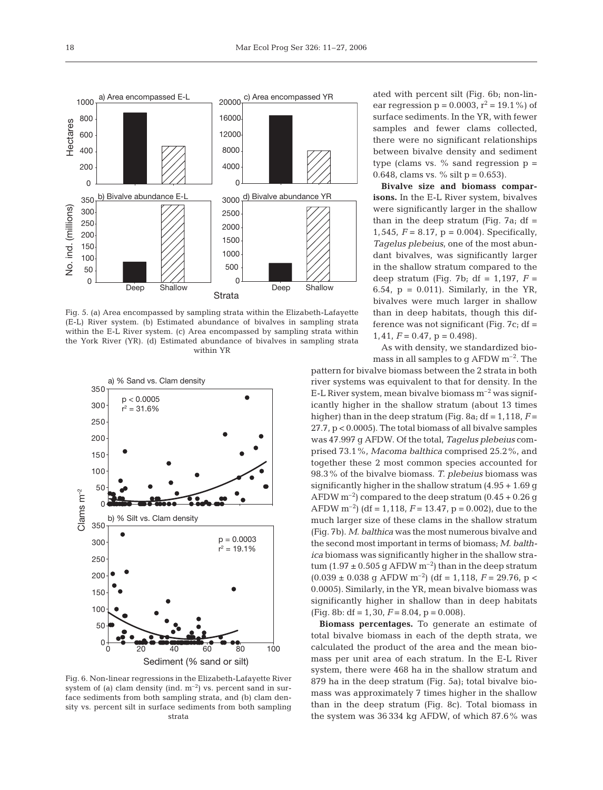

Fig. 5. (a) Area encompassed by sampling strata within the Elizabeth-Lafayette (E-L) River system. (b) Estimated abundance of bivalves in sampling strata within the E-L River system. (c) Area encompassed by sampling strata within the York River (YR). (d) Estimated abundance of bivalves in sampling strata within YR



Fig. 6. Non-linear regressions in the Elizabeth-Lafayette River system of (a) clam density (ind.  $m^{-2}$ ) vs. percent sand in surface sediments from both sampling strata, and (b) clam density vs. percent silt in surface sediments from both sampling strata

ated with percent silt (Fig. 6b; non-linear regression  $p = 0.0003$ ,  $r^2 = 19.1\%$  of surface sediments. In the YR, with fewer samples and fewer clams collected, there were no significant relationships between bivalve density and sediment type (clams vs.  $\%$  sand regression  $p =$ 0.648, clams vs. % silt  $p = 0.653$ .

**Bivalve size and biomass comparisons.** In the E-L River system, bivalves were significantly larger in the shallow than in the deep stratum (Fig.  $7a$ ; df = 1,545,  $F = 8.17$ ,  $p = 0.004$ ). Specifically, *Tagelus plebeius*, one of the most abundant bivalves, was significantly larger in the shallow stratum compared to the deep stratum (Fig. 7b; df = 1,197, *F* = 6.54,  $p = 0.011$ . Similarly, in the YR, bivalves were much larger in shallow than in deep habitats, though this difference was not significant (Fig.  $7c$ ; df = 1,41,  $F = 0.47$ ,  $p = 0.498$ ).

As with density, we standardized biomass in all samples to g AFDW  $m^{-2}$ . The

pattern for bivalve biomass between the 2 strata in both river systems was equivalent to that for density. In the E-L River system, mean bivalve biomass  $m^{-2}$  was significantly higher in the shallow stratum (about 13 times higher) than in the deep stratum (Fig. 8a;  $df = 1,118$ ,  $F =$ 27.7, p < 0.0005). The total biomass of all bivalve samples was 47.997 g AFDW. Of the total, *Tagelus plebeius* comprised 73.1%, *Macoma balthica* comprised 25.2%, and together these 2 most common species accounted for 98.3% of the bivalve biomass. *T. plebeius* biomass was significantly higher in the shallow stratum (4.95 + 1.69 g AFDW  $m^{-2}$ ) compared to the deep stratum  $(0.45 + 0.26$  g AFDW  $m^{-2}$ ) (df = 1, 118,  $F = 13.47$ , p = 0.002), due to the much larger size of these clams in the shallow stratum (Fig. 7b). *M. balthica* was the most numerous bivalve and the second most important in terms of biomass; *M. balthica* biomass was significantly higher in the shallow stratum (1.97  $\pm$  0.505 g AFDW m<sup>-2</sup>) than in the deep stratum  $(0.039 \pm 0.038 \text{ g AFDW m}^{-2})$  (df = 1,118,  $F = 29.76$ , p < 0.0005). Similarly, in the YR, mean bivalve biomass was significantly higher in shallow than in deep habitats (Fig. 8b: df = 1,30, *F* = 8.04, p = 0.008).

**Biomass percentages.** To generate an estimate of total bivalve biomass in each of the depth strata, we calculated the product of the area and the mean biomass per unit area of each stratum. In the E-L River system, there were 468 ha in the shallow stratum and 879 ha in the deep stratum (Fig. 5a); total bivalve biomass was approximately 7 times higher in the shallow than in the deep stratum (Fig. 8c). Total biomass in the system was 36 334 kg AFDW, of which 87.6% was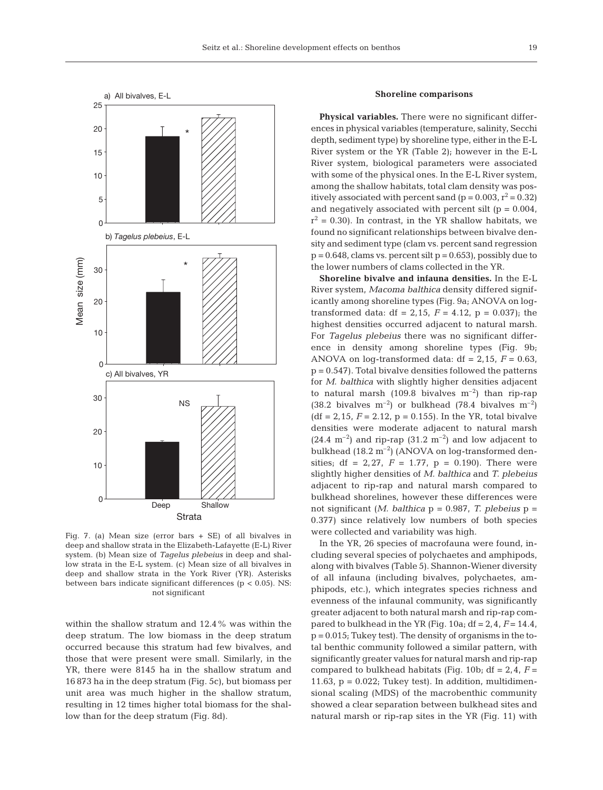

Fig. 7. (a) Mean size (error bars + SE) of all bivalves in deep and shallow strata in the Elizabeth-Lafayette (E-L) River system. (b) Mean size of *Tagelus plebeius* in deep and shallow strata in the E-L system. (c) Mean size of all bivalves in deep and shallow strata in the York River (YR). Asterisks between bars indicate significant differences (p < 0.05). NS: not significant

within the shallow stratum and 12.4% was within the deep stratum. The low biomass in the deep stratum occurred because this stratum had few bivalves, and those that were present were small. Similarly, in the YR, there were 8145 ha in the shallow stratum and 16 873 ha in the deep stratum (Fig. 5c), but biomass per unit area was much higher in the shallow stratum, resulting in 12 times higher total biomass for the shallow than for the deep stratum (Fig. 8d).

## **Shoreline comparisons**

**Physical variables.** There were no significant differences in physical variables (temperature, salinity, Secchi depth, sediment type) by shoreline type, either in the E-L River system or the YR (Table 2); however in the E-L River system, biological parameters were associated with some of the physical ones. In the E-L River system, among the shallow habitats, total clam density was positively associated with percent sand ( $p = 0.003$ ,  $r^2 = 0.32$ ) and negatively associated with percent silt  $(p = 0.004)$ ,  $r^2$  = 0.30). In contrast, in the YR shallow habitats, we found no significant relationships between bivalve density and sediment type (clam vs. percent sand regression  $p = 0.648$ , clams vs. percent silt  $p = 0.653$ , possibly due to the lower numbers of clams collected in the YR.

**Shoreline bivalve and infauna densities.** In the E-L River system, *Macoma balthica* density differed significantly among shoreline types (Fig. 9a; ANOVA on logtransformed data: df = 2,15,  $F = 4.12$ ,  $p = 0.037$ ); the highest densities occurred adjacent to natural marsh. For *Tagelus plebeius* there was no significant difference in density among shoreline types (Fig. 9b; ANOVA on log-transformed data:  $df = 2,15$ ,  $F = 0.63$ ,  $p = 0.547$ . Total bivalve densities followed the patterns for *M. balthica* with slightly higher densities adjacent to natural marsh (109.8 bivalves  $m^{-2}$ ) than rip-rap (38.2 bivalves  $m^{-2}$ ) or bulkhead (78.4 bivalves  $m^{-2}$ )  $(df = 2, 15, F = 2.12, p = 0.155)$ . In the YR, total bivalve densities were moderate adjacent to natural marsh  $(24.4 \text{ m}^{-2})$  and rip-rap  $(31.2 \text{ m}^{-2})$  and low adjacent to bulkhead  $(18.2 \text{ m}^{-2})$  (ANOVA on log-transformed densities; df = 2,27,  $F = 1.77$ ,  $p = 0.190$ ). There were slightly higher densities of *M. balthica* and *T. plebeius* adjacent to rip-rap and natural marsh compared to bulkhead shorelines, however these differences were not significant (*M. balthica* p = 0.987, *T. plebeius* p = 0.377) since relatively low numbers of both species were collected and variability was high.

In the YR, 26 species of macrofauna were found, including several species of polychaetes and amphipods, along with bivalves (Table 5). Shannon-Wiener diversity of all infauna (including bivalves, polychaetes, amphipods, etc.), which integrates species richness and evenness of the infaunal community, was significantly greater adjacent to both natural marsh and rip-rap compared to bulkhead in the YR (Fig.  $10a$ ;  $df = 2, 4, F = 14.4$ , p = 0.015; Tukey test). The density of organisms in the total benthic community followed a similar pattern, with significantly greater values for natural marsh and rip-rap compared to bulkhead habitats (Fig. 10b;  $df = 2, 4, F =$ 11.63,  $p = 0.022$ ; Tukey test). In addition, multidimensional scaling (MDS) of the macrobenthic community showed a clear separation between bulkhead sites and natural marsh or rip-rap sites in the YR (Fig. 11) with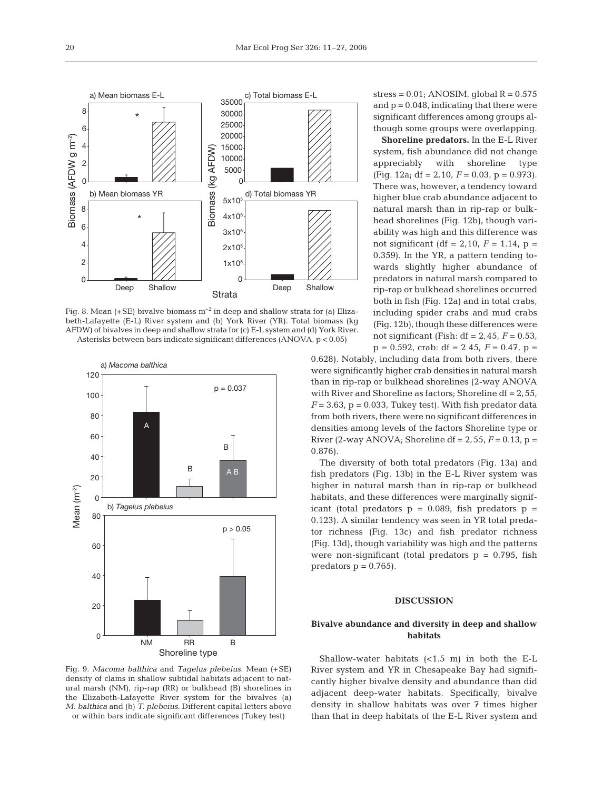

Fig. 8. Mean  $(+SE)$  bivalve biomass  $m^{-2}$  in deep and shallow strata for (a) Elizabeth-Lafayette (E-L) River system and (b) York River (YR). Total biomass (kg AFDW) of bivalves in deep and shallow strata for (c) E-L system and (d) York River. Asterisks between bars indicate significant differences (ANOVA, p < 0.05)



Fig. 9. *Macoma balthica* and *Tagelus plebeius*. Mean (+SE) density of clams in shallow subtidal habitats adjacent to natural marsh (NM), rip-rap (RR) or bulkhead (B) shorelines in the Elizabeth-Lafayette River system for the bivalves (a) *M. balthica* and (b) *T. plebeius*. Different capital letters above or within bars indicate significant differences (Tukey test)

 $stress = 0.01$ ; ANOSIM, global  $R = 0.575$ and  $p = 0.048$ , indicating that there were significant differences among groups although some groups were overlapping.

**Shoreline predators.** In the E-L River system, fish abundance did not change appreciably with shoreline type  $(Fiq. 12a; df = 2, 10, F = 0.03, p = 0.973).$ There was, however, a tendency toward higher blue crab abundance adjacent to natural marsh than in rip-rap or bulkhead shorelines (Fig. 12b), though variability was high and this difference was not significant (df = 2, 10,  $F = 1.14$ ,  $p =$ 0.359). In the YR, a pattern tending towards slightly higher abundance of predators in natural marsh compared to rip-rap or bulkhead shorelines occurred both in fish (Fig. 12a) and in total crabs, including spider crabs and mud crabs (Fig. 12b), though these differences were not significant (Fish: df = 2,45, *F* = 0.53,  $p = 0.592$ , crab: df = 2 45,  $F = 0.47$ ,  $p =$ 

0.628). Notably, including data from both rivers, there were significantly higher crab densities in natural marsh than in rip-rap or bulkhead shorelines (2-way ANOVA with River and Shoreline as factors; Shoreline df = 2,55,  $F = 3.63$ ,  $p = 0.033$ , Tukey test). With fish predator data from both rivers, there were no significant differences in densities among levels of the factors Shoreline type or River (2-way ANOVA; Shoreline df =  $2,55, F = 0.13, p =$ 0.876).

The diversity of both total predators (Fig. 13a) and fish predators (Fig. 13b) in the E-L River system was higher in natural marsh than in rip-rap or bulkhead habitats, and these differences were marginally significant (total predators  $p = 0.089$ , fish predators  $p =$ 0.123). A similar tendency was seen in YR total predator richness (Fig. 13c) and fish predator richness (Fig. 13d), though variability was high and the patterns were non-significant (total predators  $p = 0.795$ , fish predators  $p = 0.765$ .

#### **DISCUSSION**

## **Bivalve abundance and diversity in deep and shallow habitats**

Shallow-water habitats (<1.5 m) in both the E-L River system and YR in Chesapeake Bay had significantly higher bivalve density and abundance than did adjacent deep-water habitats. Specifically, bivalve density in shallow habitats was over 7 times higher than that in deep habitats of the E-L River system and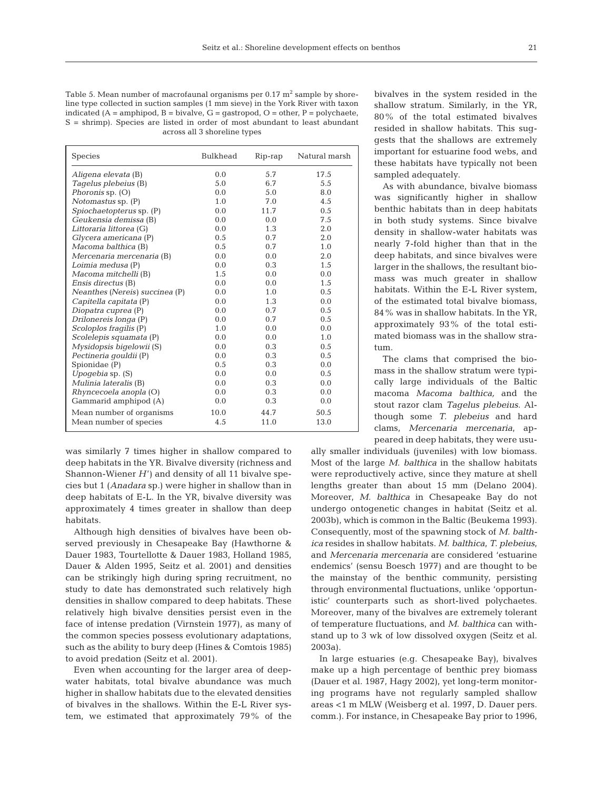Table 5. Mean number of macrofaunal organisms per  $0.17 \text{ m}^2$  sample by shoreline type collected in suction samples (1 mm sieve) in the York River with taxon indicated  $(A = \text{amphipod}, B = \text{bivalve}, G = \text{gastropod}, O = \text{other}, P = \text{polychaete},$ S = shrimp). Species are listed in order of most abundant to least abundant across all 3 shoreline types

| <b>Species</b>                 | Bulkhead      | Rip-rap | Natural marsh |
|--------------------------------|---------------|---------|---------------|
| Aligena elevata (B)            | 0.0           | 5.7     | 17.5          |
| Tagelus plebeius (B)           | 5.0           | 6.7     | 5.5           |
| Phoronis sp. (O)               | 0.0           | 5.0     | 8.0           |
| Notomastus sp. (P)             | 1.0           | 7.0     | 4.5           |
| Spiochaetopterus sp. (P)       | 0.0           | 11.7    | 0.5           |
| Geukensia demissa (B)          | 0.0           | 0.0     | 7.5           |
| Littoraria littorea (G)        | 0.0           | 1.3     | 2.0           |
| Glycera americana (P)          | 0.5           | 0.7     | 2.0           |
| Macoma balthica (B)            | 0.5           | 0.7     | 1.0           |
| Mercenaria mercenaria (B)      | 0.0           | 0.0     | 2.0           |
| Loimia medusa (P)              | $0.0^{\circ}$ | 0.3     | 1.5           |
| Macoma mitchelli (B)           | 1.5           | 0.0     | 0.0           |
| Ensis directus (B)             | 0.0           | 0.0     | 1.5           |
| Neanthes (Nereis) succinea (P) | 0.0           | 1.0     | 0.5           |
| Capitella capitata (P)         | 0.0           | 1.3     | 0.0           |
| Diopatra cuprea (P)            | 0.0           | 0.7     | 0.5           |
| Drilonereis longa (P)          | 0.0           | 0.7     | 0.5           |
| Scoloplos fragilis (P)         | 1.0           | 0.0     | 0.0           |
| Scolelepis squamata (P)        | 0.0           | 0.0     | 1.0           |
| Mysidopsis bigelowii (S)       | 0.0           | 0.3     | 0.5           |
| Pectineria gouldii (P)         | 0.0           | 0.3     | 0.5           |
| Spionidae (P)                  | 0.5           | 0.3     | 0.0           |
| Upogebia sp. (S)               | 0.0           | 0.0     | 0.5           |
| Mulinia lateralis (B)          | 0.0           | 0.3     | 0.0           |
| Rhyncecoela anopla (O)         | 0.0           | 0.3     | 0.0           |
| Gammarid amphipod (A)          | 0.0           | 0.3     | 0.0           |
| Mean number of organisms       | 10.0          | 44.7    | 50.5          |
| Mean number of species         | 4.5           | 11.0    | 13.0          |

was similarly 7 times higher in shallow compared to deep habitats in the YR. Bivalve diversity (richness and Shannon-Wiener *H*') and density of all 11 bivalve species but 1 (*Anadara* sp*.*) were higher in shallow than in deep habitats of E-L. In the YR, bivalve diversity was approximately 4 times greater in shallow than deep habitats.

Although high densities of bivalves have been observed previously in Chesapeake Bay (Hawthorne & Dauer 1983, Tourtellotte & Dauer 1983, Holland 1985, Dauer & Alden 1995, Seitz et al. 2001) and densities can be strikingly high during spring recruitment, no study to date has demonstrated such relatively high densities in shallow compared to deep habitats. These relatively high bivalve densities persist even in the face of intense predation (Virnstein 1977), as many of the common species possess evolutionary adaptations, such as the ability to bury deep (Hines & Comtois 1985) to avoid predation (Seitz et al. 2001).

Even when accounting for the larger area of deepwater habitats, total bivalve abundance was much higher in shallow habitats due to the elevated densities of bivalves in the shallows. Within the E-L River system, we estimated that approximately 79% of the bivalves in the system resided in the shallow stratum. Similarly, in the YR, 80% of the total estimated bivalves resided in shallow habitats. This suggests that the shallows are extremely important for estuarine food webs, and these habitats have typically not been sampled adequately.

As with abundance, bivalve biomass was significantly higher in shallow benthic habitats than in deep habitats in both study systems. Since bivalve density in shallow-water habitats was nearly 7-fold higher than that in the deep habitats, and since bivalves were larger in the shallows, the resultant biomass was much greater in shallow habitats. Within the E-L River system, of the estimated total bivalve biomass, 84% was in shallow habitats. In the YR, approximately 93% of the total estimated biomass was in the shallow stratum.

The clams that comprised the biomass in the shallow stratum were typically large individuals of the Baltic macoma *Macoma balthica,* and the stout razor clam *Tagelus plebeius*. Although some *T. plebeius* and hard clams, *Mercenaria mercenaria*, appeared in deep habitats, they were usu-

ally smaller individuals (juveniles) with low biomass. Most of the large *M. balthica* in the shallow habitats were reproductively active, since they mature at shell lengths greater than about 15 mm (Delano 2004). Moreover, *M. balthica* in Chesapeake Bay do not undergo ontogenetic changes in habitat (Seitz et al. 2003b), which is common in the Baltic (Beukema 1993). Consequently, most of the spawning stock of *M. balthica* resides in shallow habitats. *M. balthica*, *T. plebeius*, and *Mercenaria mercenaria* are considered 'estuarine endemics' (sensu Boesch 1977) and are thought to be the mainstay of the benthic community, persisting through environmental fluctuations, unlike 'opportunistic' counterparts such as short-lived polychaetes. Moreover, many of the bivalves are extremely tolerant of temperature fluctuations, and *M. balthica* can withstand up to 3 wk of low dissolved oxygen (Seitz et al. 2003a).

In large estuaries (e.g. Chesapeake Bay), bivalves make up a high percentage of benthic prey biomass (Dauer et al. 1987, Hagy 2002), yet long-term monitoring programs have not regularly sampled shallow areas <1 m MLW (Weisberg et al. 1997, D. Dauer pers. comm.). For instance, in Chesapeake Bay prior to 1996,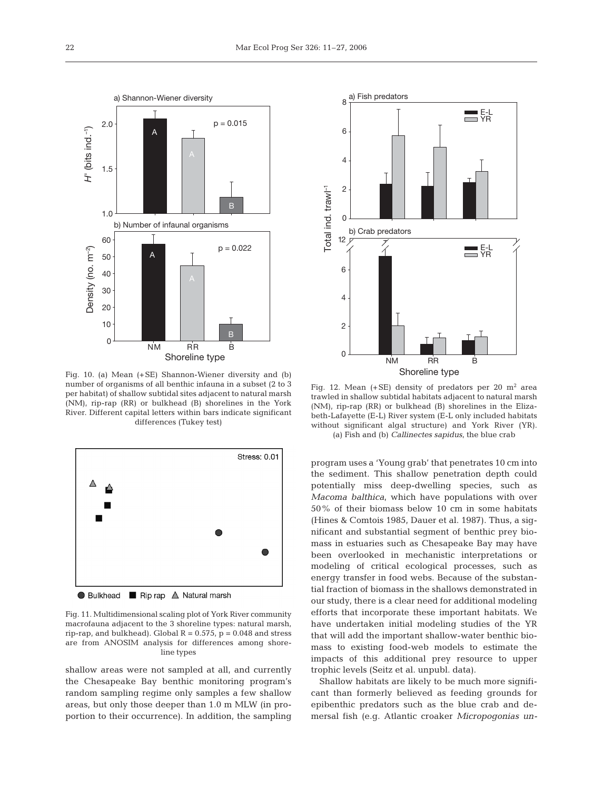

Fig. 10. (a) Mean (+SE) Shannon-Wiener diversity and (b) number of organisms of all benthic infauna in a subset (2 to 3 per habitat) of shallow subtidal sites adjacent to natural marsh (NM), rip-rap (RR) or bulkhead (B) shorelines in the York River. Different capital letters within bars indicate significant differences (Tukey test)



Fig. 11. Multidimensional scaling plot of York River community macrofauna adjacent to the 3 shoreline types: natural marsh, rip-rap, and bulkhead). Global  $R = 0.575$ ,  $p = 0.048$  and stress are from ANOSIM analysis for differences among shoreline types

shallow areas were not sampled at all, and currently the Chesapeake Bay benthic monitoring program's random sampling regime only samples a few shallow areas, but only those deeper than 1.0 m MLW (in proportion to their occurrence). In addition, the sampling



Fig. 12. Mean  $(+SE)$  density of predators per 20 m<sup>2</sup> area trawled in shallow subtidal habitats adjacent to natural marsh (NM), rip-rap (RR) or bulkhead (B) shorelines in the Elizabeth-Lafayette (E-L) River system (E-L only included habitats without significant algal structure) and York River (YR). (a) Fish and (b) *Callinectes sapidus*, the blue crab

program uses a 'Young grab' that penetrates 10 cm into the sediment. This shallow penetration depth could potentially miss deep-dwelling species, such as *Macoma balthica*, which have populations with over 50% of their biomass below 10 cm in some habitats (Hines & Comtois 1985, Dauer et al. 1987). Thus, a significant and substantial segment of benthic prey biomass in estuaries such as Chesapeake Bay may have been overlooked in mechanistic interpretations or modeling of critical ecological processes, such as energy transfer in food webs. Because of the substantial fraction of biomass in the shallows demonstrated in our study, there is a clear need for additional modeling efforts that incorporate these important habitats. We have undertaken initial modeling studies of the YR that will add the important shallow-water benthic biomass to existing food-web models to estimate the impacts of this additional prey resource to upper trophic levels (Seitz et al. unpubl. data).

Shallow habitats are likely to be much more significant than formerly believed as feeding grounds for epibenthic predators such as the blue crab and demersal fish (e.g. Atlantic croaker *Micropogonias un-*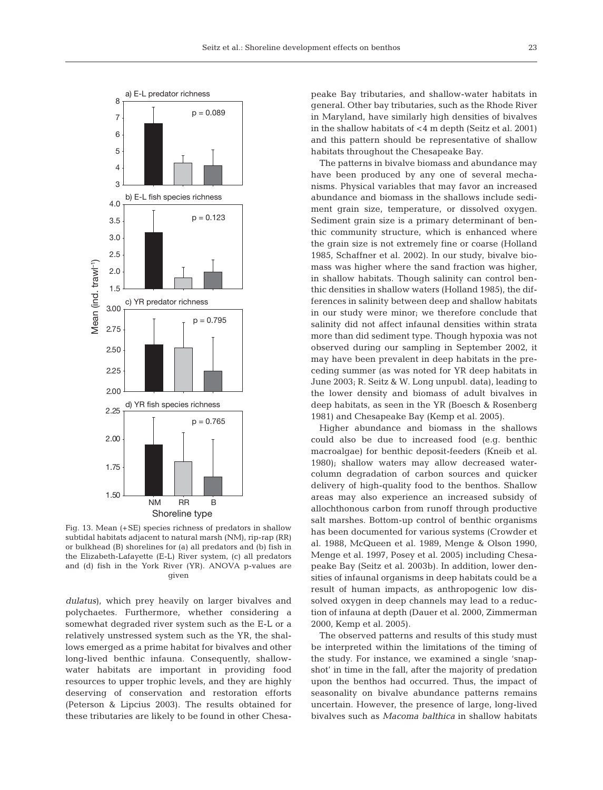

Fig. 13. Mean (+SE) species richness of predators in shallow subtidal habitats adjacent to natural marsh (NM), rip-rap (RR) or bulkhead (B) shorelines for (a) all predators and (b) fish in the Elizabeth-Lafayette (E-L) River system, (c) all predators and (d) fish in the York River (YR). ANOVA p-values are given

*dulatus*), which prey heavily on larger bivalves and polychaetes. Furthermore, whether considering a somewhat degraded river system such as the E-L or a relatively unstressed system such as the YR, the shallows emerged as a prime habitat for bivalves and other long-lived benthic infauna. Consequently, shallowwater habitats are important in providing food resources to upper trophic levels, and they are highly deserving of conservation and restoration efforts (Peterson & Lipcius 2003). The results obtained for these tributaries are likely to be found in other Chesapeake Bay tributaries, and shallow-water habitats in general. Other bay tributaries, such as the Rhode River in Maryland, have similarly high densities of bivalves in the shallow habitats of <4 m depth (Seitz et al. 2001) and this pattern should be representative of shallow habitats throughout the Chesapeake Bay.

The patterns in bivalve biomass and abundance may have been produced by any one of several mechanisms. Physical variables that may favor an increased abundance and biomass in the shallows include sediment grain size, temperature, or dissolved oxygen. Sediment grain size is a primary determinant of benthic community structure, which is enhanced where the grain size is not extremely fine or coarse (Holland 1985, Schaffner et al. 2002). In our study, bivalve biomass was higher where the sand fraction was higher, in shallow habitats. Though salinity can control benthic densities in shallow waters (Holland 1985), the differences in salinity between deep and shallow habitats in our study were minor; we therefore conclude that salinity did not affect infaunal densities within strata more than did sediment type. Though hypoxia was not observed during our sampling in September 2002, it may have been prevalent in deep habitats in the preceding summer (as was noted for YR deep habitats in June 2003; R. Seitz & W. Long unpubl. data), leading to the lower density and biomass of adult bivalves in deep habitats, as seen in the YR (Boesch & Rosenberg 1981) and Chesapeake Bay (Kemp et al. 2005).

Higher abundance and biomass in the shallows could also be due to increased food (e.g. benthic macroalgae) for benthic deposit-feeders (Kneib et al. 1980); shallow waters may allow decreased watercolumn degradation of carbon sources and quicker delivery of high-quality food to the benthos. Shallow areas may also experience an increased subsidy of allochthonous carbon from runoff through productive salt marshes. Bottom-up control of benthic organisms has been documented for various systems (Crowder et al. 1988, McQueen et al. 1989, Menge & Olson 1990, Menge et al. 1997, Posey et al. 2005) including Chesapeake Bay (Seitz et al. 2003b). In addition, lower densities of infaunal organisms in deep habitats could be a result of human impacts, as anthropogenic low dissolved oxygen in deep channels may lead to a reduction of infauna at depth (Dauer et al. 2000, Zimmerman 2000, Kemp et al. 2005).

The observed patterns and results of this study must be interpreted within the limitations of the timing of the study. For instance, we examined a single 'snapshot' in time in the fall, after the majority of predation upon the benthos had occurred. Thus, the impact of seasonality on bivalve abundance patterns remains uncertain. However, the presence of large, long-lived bivalves such as *Macoma balthica* in shallow habitats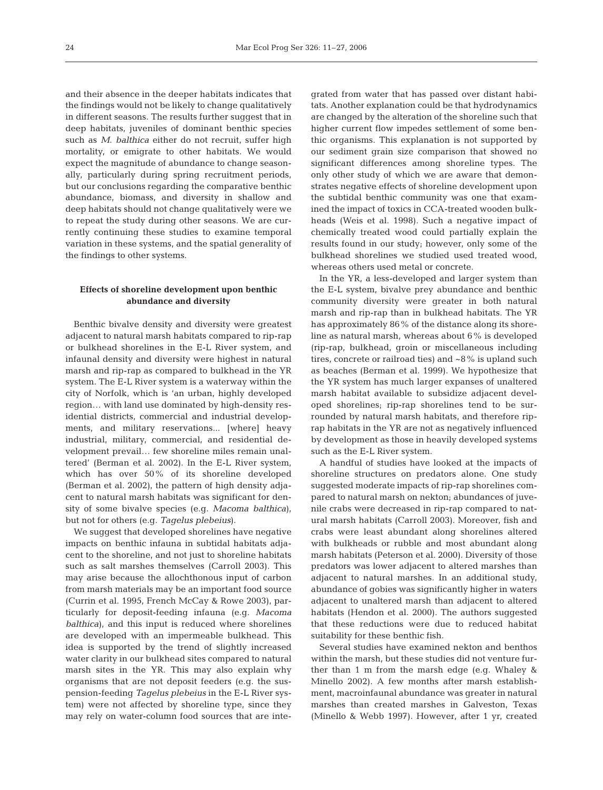and their absence in the deeper habitats indicates that the findings would not be likely to change qualitatively in different seasons. The results further suggest that in deep habitats, juveniles of dominant benthic species such as *M. balthica* either do not recruit, suffer high mortality, or emigrate to other habitats. We would expect the magnitude of abundance to change seasonally, particularly during spring recruitment periods, but our conclusions regarding the comparative benthic abundance, biomass, and diversity in shallow and deep habitats should not change qualitatively were we to repeat the study during other seasons. We are currently continuing these studies to examine temporal variation in these systems, and the spatial generality of the findings to other systems.

### **Effects of shoreline development upon benthic abundance and diversity**

Benthic bivalve density and diversity were greatest adjacent to natural marsh habitats compared to rip-rap or bulkhead shorelines in the E-L River system, and infaunal density and diversity were highest in natural marsh and rip-rap as compared to bulkhead in the YR system. The E-L River system is a waterway within the city of Norfolk, which is 'an urban, highly developed region… with land use dominated by high-density residential districts, commercial and industrial developments, and military reservations... [where] heavy industrial, military, commercial, and residential development prevail… few shoreline miles remain unaltered' (Berman et al. 2002). In the E-L River system, which has over 50% of its shoreline developed (Berman et al. 2002), the pattern of high density adjacent to natural marsh habitats was significant for density of some bivalve species (e.g. *Macoma balthica*), but not for others (e.g. *Tagelus plebeius*).

We suggest that developed shorelines have negative impacts on benthic infauna in subtidal habitats adjacent to the shoreline, and not just to shoreline habitats such as salt marshes themselves (Carroll 2003). This may arise because the allochthonous input of carbon from marsh materials may be an important food source (Currin et al. 1995, French McCay & Rowe 2003), particularly for deposit-feeding infauna (e.g. *Macoma balthica*), and this input is reduced where shorelines are developed with an impermeable bulkhead. This idea is supported by the trend of slightly increased water clarity in our bulkhead sites compared to natural marsh sites in the YR. This may also explain why organisms that are not deposit feeders (e.g. the suspension-feeding *Tagelus plebeius* in the E-L River system) were not affected by shoreline type, since they may rely on water-column food sources that are integrated from water that has passed over distant habitats. Another explanation could be that hydrodynamics are changed by the alteration of the shoreline such that higher current flow impedes settlement of some benthic organisms. This explanation is not supported by our sediment grain size comparison that showed no significant differences among shoreline types. The only other study of which we are aware that demonstrates negative effects of shoreline development upon the subtidal benthic community was one that examined the impact of toxics in CCA-treated wooden bulkheads (Weis et al. 1998). Such a negative impact of chemically treated wood could partially explain the results found in our study; however, only some of the bulkhead shorelines we studied used treated wood, whereas others used metal or concrete.

In the YR, a less-developed and larger system than the E-L system, bivalve prey abundance and benthic community diversity were greater in both natural marsh and rip-rap than in bulkhead habitats. The YR has approximately 86% of the distance along its shoreline as natural marsh, whereas about 6% is developed (rip-rap, bulkhead, groin or miscellaneous including tires, concrete or railroad ties) and ~8% is upland such as beaches (Berman et al. 1999). We hypothesize that the YR system has much larger expanses of unaltered marsh habitat available to subsidize adjacent developed shorelines; rip-rap shorelines tend to be surrounded by natural marsh habitats, and therefore riprap habitats in the YR are not as negatively influenced by development as those in heavily developed systems such as the E-L River system.

A handful of studies have looked at the impacts of shoreline structures on predators alone. One study suggested moderate impacts of rip-rap shorelines compared to natural marsh on nekton; abundances of juvenile crabs were decreased in rip-rap compared to natural marsh habitats (Carroll 2003). Moreover, fish and crabs were least abundant along shorelines altered with bulkheads or rubble and most abundant along marsh habitats (Peterson et al. 2000). Diversity of those predators was lower adjacent to altered marshes than adjacent to natural marshes. In an additional study, abundance of gobies was significantly higher in waters adjacent to unaltered marsh than adjacent to altered habitats (Hendon et al. 2000). The authors suggested that these reductions were due to reduced habitat suitability for these benthic fish.

Several studies have examined nekton and benthos within the marsh, but these studies did not venture further than 1 m from the marsh edge (e.g. Whaley & Minello 2002). A few months after marsh establishment, macroinfaunal abundance was greater in natural marshes than created marshes in Galveston, Texas (Minello & Webb 1997). However, after 1 yr, created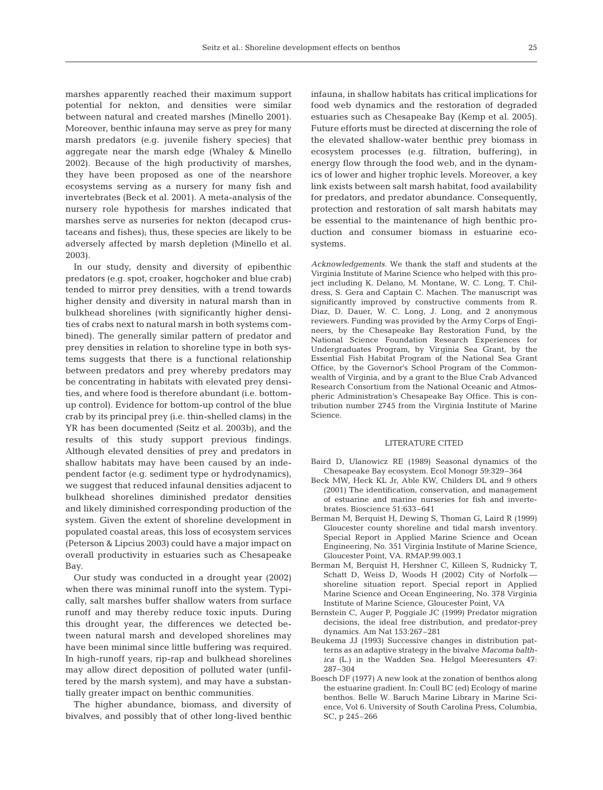marshes apparently reached their maximum support potential for nekton, and densities were similar between natural and created marshes (Minello 2001). Moreover, benthic infauna may serve as prey for many marsh predators (e.g. juvenile fishery species) that aggregate near the marsh edge (Whaley & Minello 2002). Because of the high productivity of marshes, they have been proposed as one of the nearshore ecosystems serving as a nursery for many fish and invertebrates (Beck et al. 2001). A meta-analysis of the nursery role hypothesis for marshes indicated that marshes serve as nurseries for nekton (decapod crustaceans and fishes); thus, these species are likely to be adversely affected by marsh depletion (Minello et al. 2003).

In our study, density and diversity of epibenthic predators (e.g. spot, croaker, hogchoker and blue crab) tended to mirror prey densities, with a trend towards higher density and diversity in natural marsh than in bulkhead shorelines (with significantly higher densities of crabs next to natural marsh in both systems combined). The generally similar pattern of predator and prey densities in relation to shoreline type in both systems suggests that there is a functional relationship between predators and prey whereby predators may be concentrating in habitats with elevated prey densities, and where food is therefore abundant (i.e. bottomup control). Evidence for bottom-up control of the blue crab by its principal prey (i.e. thin-shelled clams) in the YR has been documented (Seitz et al. 2003b), and the results of this study support previous findings. Although elevated densities of prey and predators in shallow habitats may have been caused by an independent factor (e.g. sediment type or hydrodynamics), we suggest that reduced infaunal densities adjacent to bulkhead shorelines diminished predator densities and likely diminished corresponding production of the system. Given the extent of shoreline development in populated coastal areas, this loss of ecosystem services (Peterson & Lipcius 2003) could have a major impact on overall productivity in estuaries such as Chesapeake Bay.

Our study was conducted in a drought year (2002) when there was minimal runoff into the system. Typically, salt marshes buffer shallow waters from surface runoff and may thereby reduce toxic inputs. During this drought year, the differences we detected between natural marsh and developed shorelines may have been minimal since little buffering was required. In high-runoff years, rip-rap and bulkhead shorelines may allow direct deposition of polluted water (unfiltered by the marsh system), and may have a substantially greater impact on benthic communities.

The higher abundance, biomass, and diversity of bivalves, and possibly that of other long-lived benthic

infauna, in shallow habitats has critical implications for food web dynamics and the restoration of degraded estuaries such as Chesapeake Bay (Kemp et al. 2005). Future efforts must be directed at discerning the role of the elevated shallow-water benthic prey biomass in ecosystem processes (e.g. filtration, buffering), in energy flow through the food web, and in the dynamics of lower and higher trophic levels. Moreover, a key link exists between salt marsh habitat, food availability for predators, and predator abundance. Consequently, protection and restoration of salt marsh habitats may be essential to the maintenance of high benthic production and consumer biomass in estuarine ecosystems.

*Acknowledgements.* We thank the staff and students at the Virginia Institute of Marine Science who helped with this project including K. Delano, M. Montane, W. C. Long, T. Childress, S. Gera and Captain C. Machen. The manuscript was significantly improved by constructive comments from R. Diaz, D. Dauer, W. C. Long, J. Long, and 2 anonymous reviewers. Funding was provided by the Army Corps of Engineers, by the Chesapeake Bay Restoration Fund, by the National Science Foundation Research Experiences for Undergraduates Program, by Virginia Sea Grant, by the Essential Fish Habitat Program of the National Sea Grant Office, by the Governor's School Program of the Commonwealth of Virginia, and by a grant to the Blue Crab Advanced Research Consortium from the National Oceanic and Atmospheric Administration's Chesapeake Bay Office. This is contribution number 2745 from the Virginia Institute of Marine Science.

#### LITERATURE CITED

- Baird D, Ulanowicz RE (1989) Seasonal dynamics of the Chesapeake Bay ecosystem. Ecol Monogr 59:329–364
- Beck MW, Heck KL Jr, Able KW, Childers DL and 9 others (2001) The identification, conservation, and management of estuarine and marine nurseries for fish and invertebrates. Bioscience 51:633–641
- Berman M, Berquist H, Dewing S, Thoman G, Laird R (1999) Gloucester county shoreline and tidal marsh inventory. Special Report in Applied Marine Science and Ocean Engineering, No. 351 Virginia Institute of Marine Science, Gloucester Point, VA. RMAP.99.003.1
- Berman M, Berquist H, Hershner C, Killeen S, Rudnicky T, Schatt D, Weiss D, Woods H (2002) City of Norfolk shoreline situation report. Special report in Applied Marine Science and Ocean Engineering, No. 378 Virginia Institute of Marine Science, Gloucester Point, VA
- Bernstein C, Auger P, Poggiale JC (1999) Predator migration decisions, the ideal free distribution, and predator-prey dynamics. Am Nat 153:267–281
- Beukema JJ (1993) Successive changes in distribution patterns as an adaptive strategy in the bivalve *Macoma balthica* (L.) in the Wadden Sea. Helgol Meeresunters 47: 287–304
- Boesch DF (1977) A new look at the zonation of benthos along the estuarine gradient. In: Coull BC (ed) Ecology of marine benthos. Belle W. Baruch Marine Library in Marine Science, Vol 6. University of South Carolina Press, Columbia, SC, p 245–266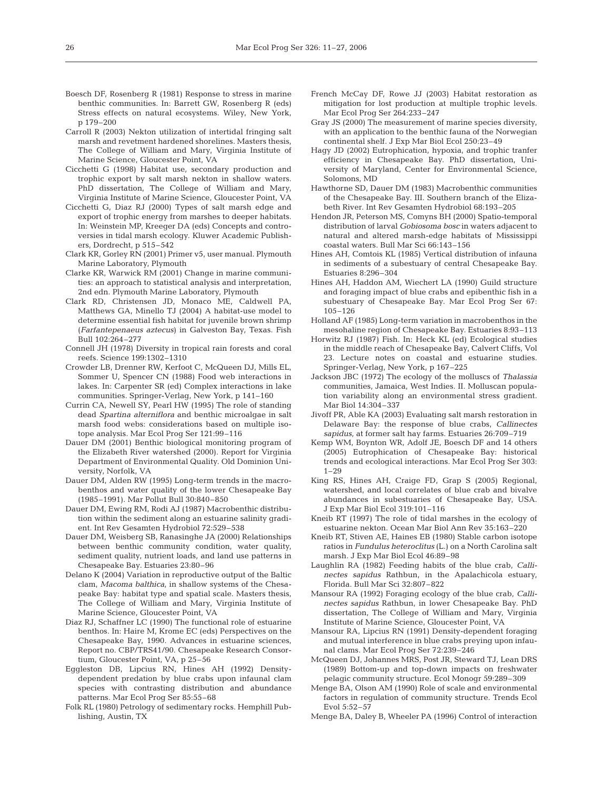- Boesch DF, Rosenberg R (1981) Response to stress in marine benthic communities. In: Barrett GW, Rosenberg R (eds) Stress effects on natural ecosystems. Wiley, New York, p 179–200
- Carroll R (2003) Nekton utilization of intertidal fringing salt marsh and revetment hardened shorelines. Masters thesis, The College of William and Mary, Virginia Institute of Marine Science, Gloucester Point, VA
- Cicchetti G (1998) Habitat use, secondary production and trophic export by salt marsh nekton in shallow waters. PhD dissertation, The College of William and Mary, Virginia Institute of Marine Science, Gloucester Point, VA
- Cicchetti G, Diaz RJ (2000) Types of salt marsh edge and export of trophic energy from marshes to deeper habitats. In: Weinstein MP, Kreeger DA (eds) Concepts and controversies in tidal marsh ecology. Kluwer Academic Publishers, Dordrecht, p 515–542
- Clark KR, Gorley RN (2001) Primer v5, user manual. Plymouth Marine Laboratory, Plymouth
- Clarke KR, Warwick RM (2001) Change in marine communities: an approach to statistical analysis and interpretation, 2nd edn. Plymouth Marine Laboratory, Plymouth
- Clark RD, Christensen JD, Monaco ME, Caldwell PA, Matthews GA, Minello TJ (2004) A habitat-use model to determine essential fish habitat for juvenile brown shrimp (*Farfantepenaeus aztecus*) in Galveston Bay, Texas. Fish Bull 102:264–277
- Connell JH (1978) Diversity in tropical rain forests and coral reefs. Science 199:1302–1310
- Crowder LB, Drenner RW, Kerfoot C, McQueen DJ, Mills EL, Sommer U, Spencer CN (1988) Food web interactions in lakes. In: Carpenter SR (ed) Complex interactions in lake communities. Springer-Verlag, New York, p 141–160
- Currin CA, Newell SY, Pearl HW (1995) The role of standing dead *Spartina alterniflora* and benthic microalgae in salt marsh food webs: considerations based on multiple isotope analysis. Mar Ecol Prog Ser 121:99–116
- Dauer DM (2001) Benthic biological monitoring program of the Elizabeth River watershed (2000). Report for Virginia Department of Environmental Quality. Old Dominion University, Norfolk, VA
- Dauer DM, Alden RW (1995) Long-term trends in the macrobenthos and water quality of the lower Chesapeake Bay (1985–1991). Mar Pollut Bull 30:840–850
- Dauer DM, Ewing RM, Rodi AJ (1987) Macrobenthic distribution within the sediment along an estuarine salinity gradient. Int Rev Gesamten Hydrobiol 72:529–538
- Dauer DM, Weisberg SB, Ranasinghe JA (2000) Relationships between benthic community condition, water quality, sediment quality, nutrient loads, and land use patterns in Chesapeake Bay. Estuaries 23:80–96
- Delano K (2004) Variation in reproductive output of the Baltic clam, *Macoma balthica*, in shallow systems of the Chesapeake Bay: habitat type and spatial scale. Masters thesis, The College of William and Mary, Virginia Institute of Marine Science, Gloucester Point, VA
- Diaz RJ, Schaffner LC (1990) The functional role of estuarine benthos. In: Haire M, Krome EC (eds) Perspectives on the Chesapeake Bay, 1990. Advances in estuarine sciences, Report no. CBP/TRS41/90. Chesapeake Research Consortium, Gloucester Point, VA, p 25–56
- Eggleston DB, Lipcius RN, Hines AH (1992) Densitydependent predation by blue crabs upon infaunal clam species with contrasting distribution and abundance patterns. Mar Ecol Prog Ser 85:55–68
- Folk RL (1980) Petrology of sedimentary rocks. Hemphill Publishing, Austin, TX
- French McCay DF, Rowe JJ (2003) Habitat restoration as mitigation for lost production at multiple trophic levels. Mar Ecol Prog Ser 264:233–247
- Gray JS (2000) The measurement of marine species diversity, with an application to the benthic fauna of the Norwegian continental shelf. J Exp Mar Biol Ecol 250:23–49
- Hagy JD (2002) Eutrophication, hypoxia, and trophic tranfer efficiency in Chesapeake Bay. PhD dissertation, University of Maryland, Center for Environmental Science, Solomons, MD
- Hawthorne SD, Dauer DM (1983) Macrobenthic communities of the Chesapeake Bay. III. Southern branch of the Elizabeth River. Int Rev Gesamten Hydrobiol 68:193–205
- Hendon JR, Peterson MS, Comyns BH (2000) Spatio-temporal distribution of larval *Gobiosoma bosc* in waters adjacent to natural and altered marsh-edge habitats of Mississippi coastal waters. Bull Mar Sci 66:143–156
- Hines AH, Comtois KL (1985) Vertical distribution of infauna in sediments of a subestuary of central Chesapeake Bay. Estuaries 8:296–304
- Hines AH, Haddon AM, Wiechert LA (1990) Guild structure and foraging impact of blue crabs and epibenthic fish in a subestuary of Chesapeake Bay. Mar Ecol Prog Ser 67: 105–126
- Holland AF (1985) Long-term variation in macrobenthos in the mesohaline region of Chesapeake Bay. Estuaries 8:93–113
- Horwitz RJ (1987) Fish. In: Heck KL (ed) Ecological studies in the middle reach of Chesapeake Bay, Calvert Cliffs, Vol 23. Lecture notes on coastal and estuarine studies. Springer-Verlag, New York, p 167–225
- Jackson JBC (1972) The ecology of the molluscs of *Thalassia* communities, Jamaica, West Indies. II. Molluscan population variability along an environmental stress gradient. Mar Biol 14:304–337
- Jivoff PR, Able KA (2003) Evaluating salt marsh restoration in Delaware Bay: the response of blue crabs, *Callinectes sapidus*, at former salt hay farms. Estuaries 26:709–719
- Kemp WM, Boynton WR, Adolf JE, Boesch DF and 14 others (2005) Eutrophication of Chesapeake Bay: historical trends and ecological interactions. Mar Ecol Prog Ser 303:  $1 - 29$
- King RS, Hines AH, Craige FD, Grap S (2005) Regional, watershed, and local correlates of blue crab and bivalve abundances in subestuaries of Chesapeake Bay, USA. J Exp Mar Biol Ecol 319:101–116
- Kneib RT (1997) The role of tidal marshes in the ecology of estuarine nekton. Ocean Mar Biol Ann Rev 35:163–220
- Kneib RT, Stiven AE, Haines EB (1980) Stable carbon isotope ratios in *Fundulus heteroclitus* (L.) on a North Carolina salt marsh. J Exp Mar Biol Ecol 46:89–98
- Laughlin RA (1982) Feeding habits of the blue crab, *Callinectes sapidus* Rathbun, in the Apalachicola estuary, Florida. Bull Mar Sci 32:807–822
- Mansour RA (1992) Foraging ecology of the blue crab, *Callinectes sapidus* Rathbun, in lower Chesapeake Bay. PhD dissertation, The College of William and Mary, Virginia Institute of Marine Science, Gloucester Point, VA
- Mansour RA, Lipcius RN (1991) Density-dependent foraging and mutual interference in blue crabs preying upon infaunal clams. Mar Ecol Prog Ser 72:239–246
- McQueen DJ, Johannes MRS, Post JR, Steward TJ, Lean DRS (1989) Bottom-up and top-down impacts on freshwater pelagic community structure. Ecol Monogr 59:289–309
- Menge BA, Olson AM (1990) Role of scale and environmental factors in regulation of community structure. Trends Ecol Evol 5:52–57
- Menge BA, Daley B, Wheeler PA (1996) Control of interaction